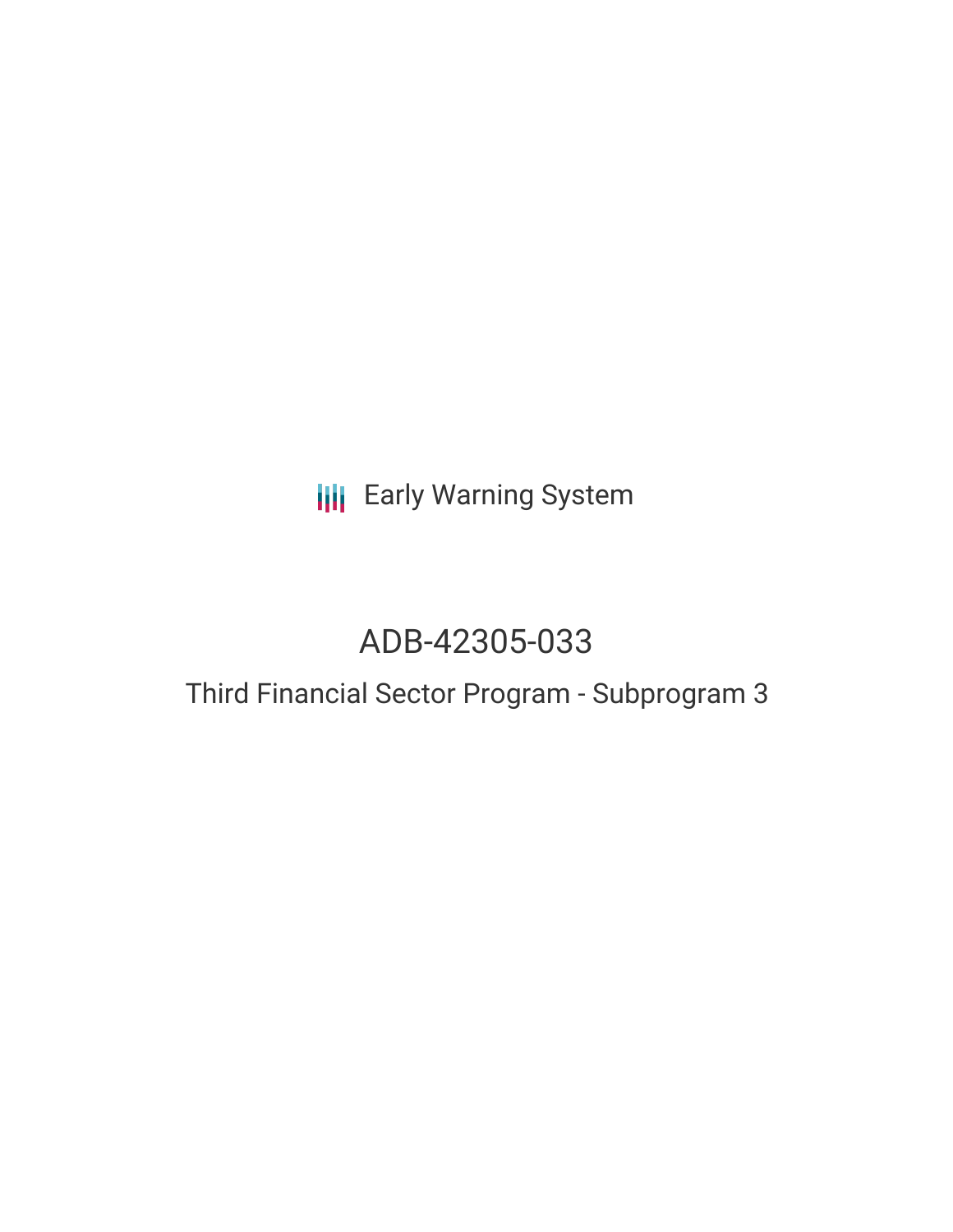# **III** Early Warning System

# ADB-42305-033

### Third Financial Sector Program - Subprogram 3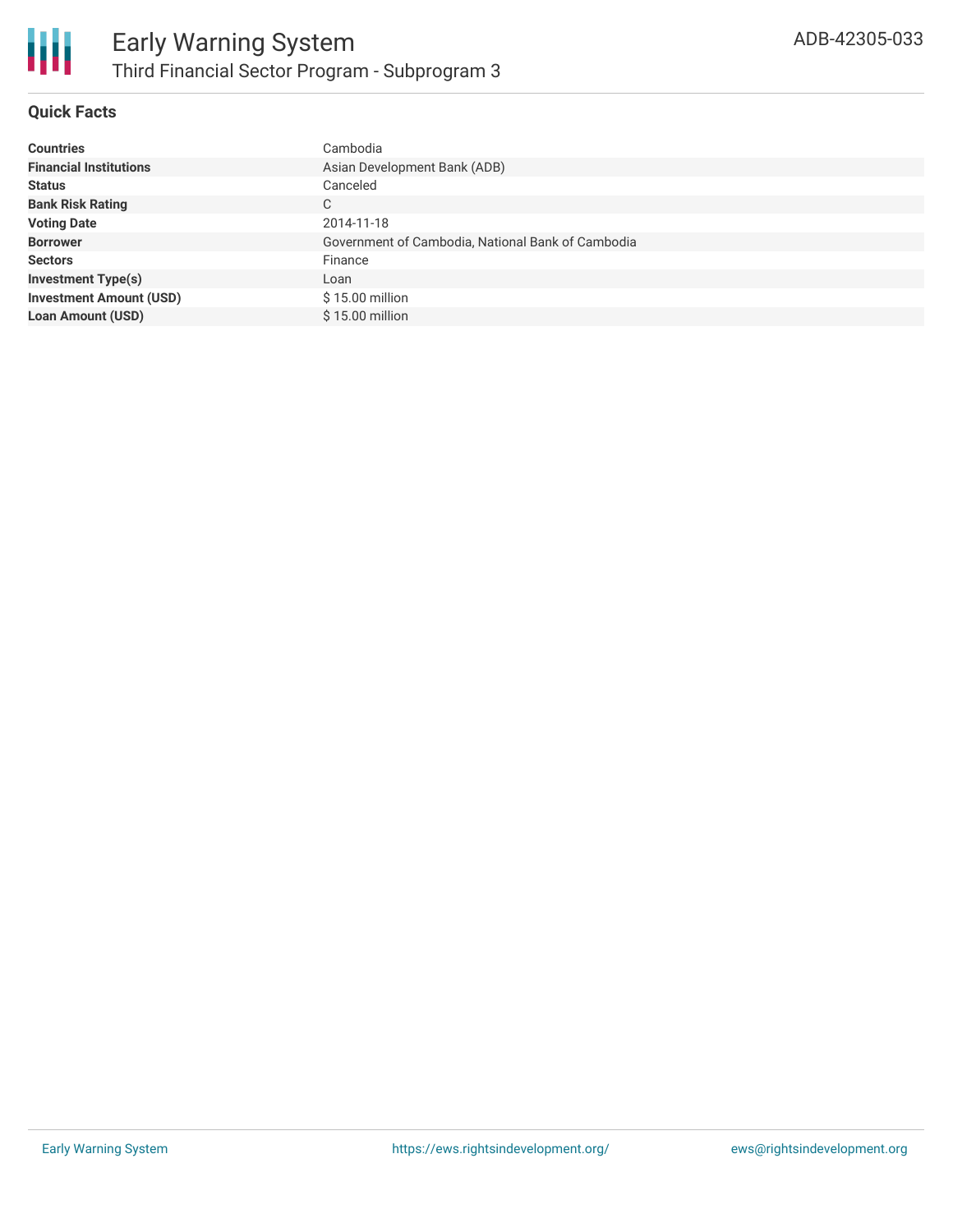

#### **Quick Facts**

| <b>Countries</b>               | Cambodia                                          |
|--------------------------------|---------------------------------------------------|
| <b>Financial Institutions</b>  | Asian Development Bank (ADB)                      |
| <b>Status</b>                  | Canceled                                          |
| <b>Bank Risk Rating</b>        | C                                                 |
| <b>Voting Date</b>             | 2014-11-18                                        |
| <b>Borrower</b>                | Government of Cambodia, National Bank of Cambodia |
| <b>Sectors</b>                 | Finance                                           |
| <b>Investment Type(s)</b>      | Loan                                              |
| <b>Investment Amount (USD)</b> | $$15.00$ million                                  |
| <b>Loan Amount (USD)</b>       | \$15.00 million                                   |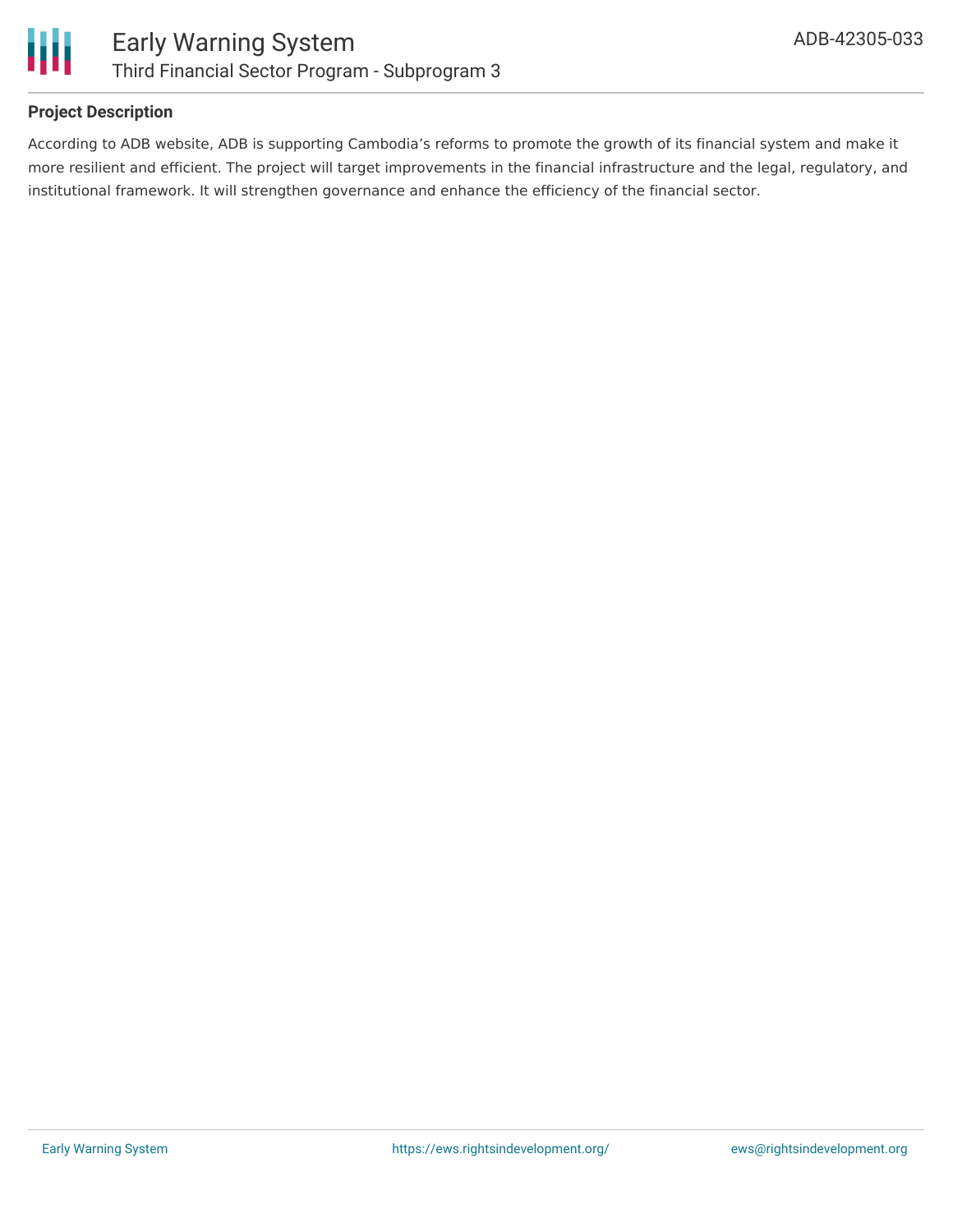

#### **Project Description**

According to ADB website, ADB is supporting Cambodia's reforms to promote the growth of its financial system and make it more resilient and efficient. The project will target improvements in the financial infrastructure and the legal, regulatory, and institutional framework. It will strengthen governance and enhance the efficiency of the financial sector.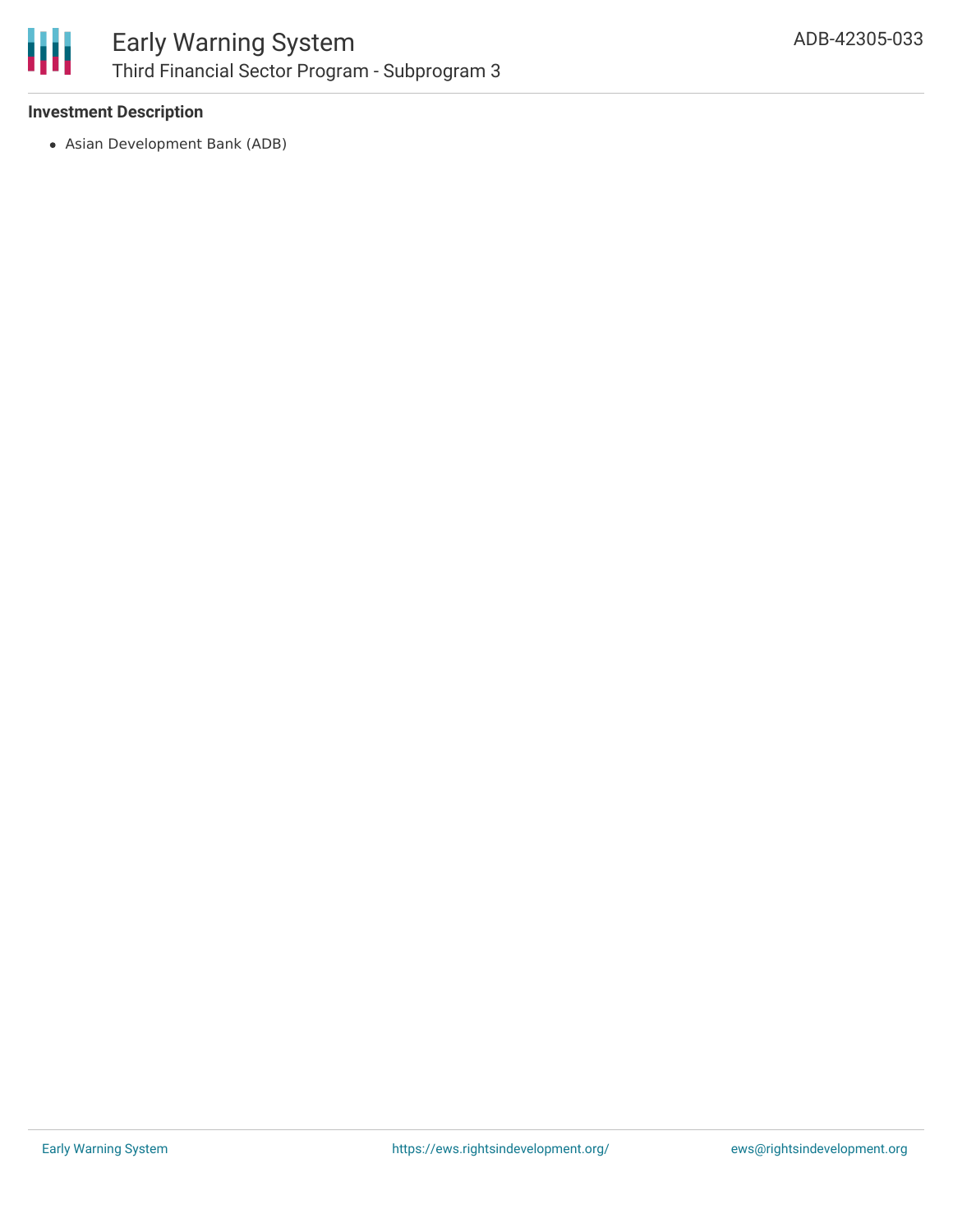

#### **Investment Description**

Asian Development Bank (ADB)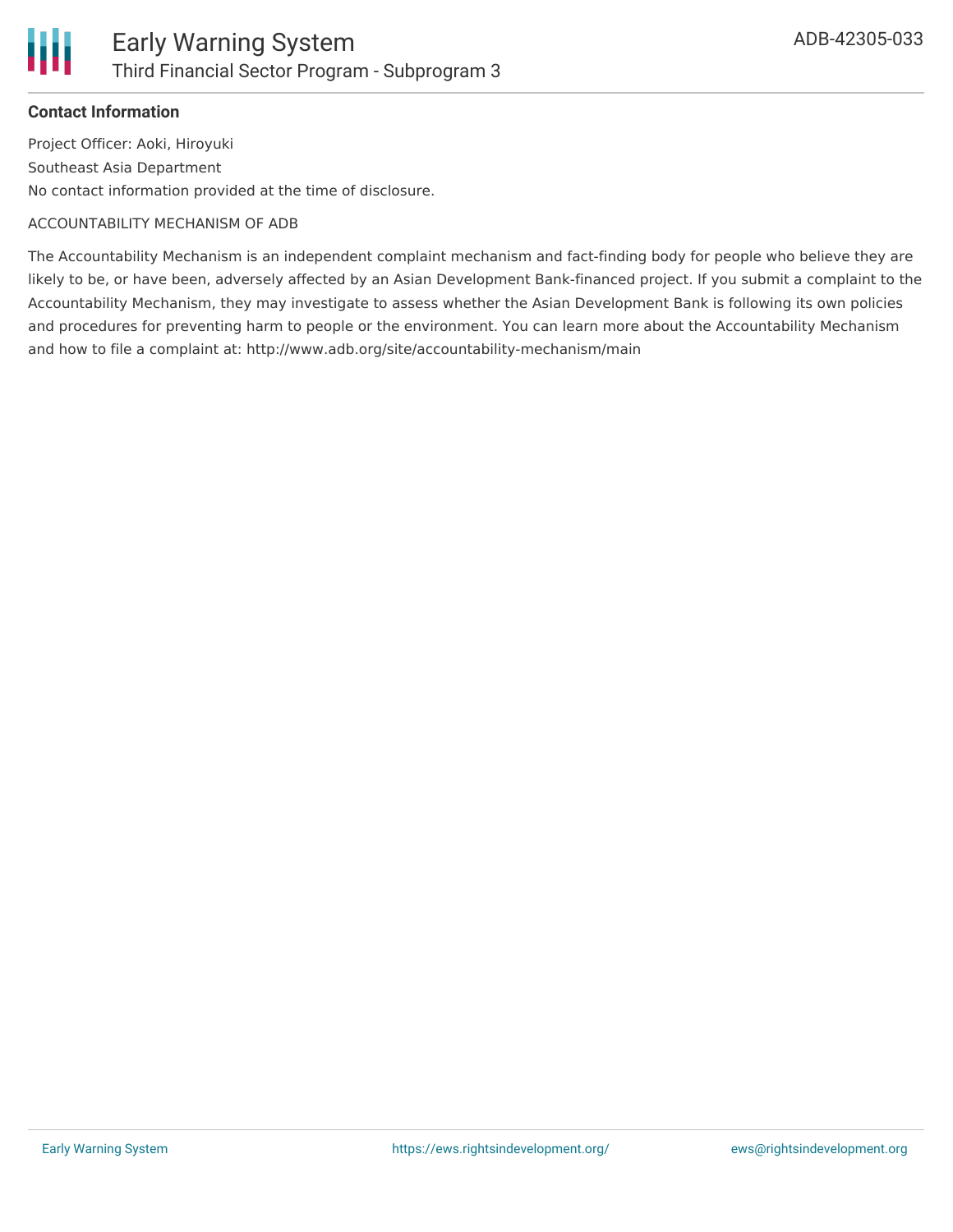

#### **Contact Information**

Project Officer: Aoki, Hiroyuki Southeast Asia Department No contact information provided at the time of disclosure.

#### ACCOUNTABILITY MECHANISM OF ADB

The Accountability Mechanism is an independent complaint mechanism and fact-finding body for people who believe they are likely to be, or have been, adversely affected by an Asian Development Bank-financed project. If you submit a complaint to the Accountability Mechanism, they may investigate to assess whether the Asian Development Bank is following its own policies and procedures for preventing harm to people or the environment. You can learn more about the Accountability Mechanism and how to file a complaint at: http://www.adb.org/site/accountability-mechanism/main